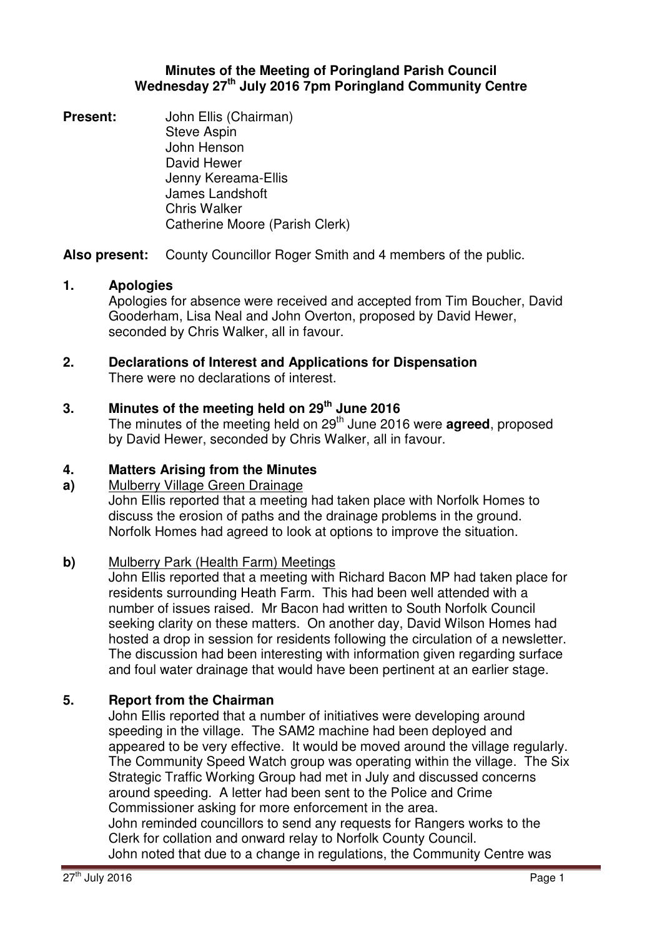### **Minutes of the Meeting of Poringland Parish Council Wednesday 27th July 2016 7pm Poringland Community Centre**

**Present:** John Ellis (Chairman) Steve Aspin John Henson David Hewer Jenny Kereama-Ellis James Landshoft Chris Walker Catherine Moore (Parish Clerk)

**Also present:** County Councillor Roger Smith and 4 members of the public.

## **1. Apologies**

Apologies for absence were received and accepted from Tim Boucher, David Gooderham, Lisa Neal and John Overton, proposed by David Hewer, seconded by Chris Walker, all in favour.

# **2. Declarations of Interest and Applications for Dispensation** There were no declarations of interest.

# **3. Minutes of the meeting held on 29 th June 2016**

The minutes of the meeting held on 29<sup>th</sup> June 2016 were **agreed**, proposed by David Hewer, seconded by Chris Walker, all in favour.

## **4. Matters Arising from the Minutes**

### **a)** Mulberry Village Green Drainage

John Ellis reported that a meeting had taken place with Norfolk Homes to discuss the erosion of paths and the drainage problems in the ground. Norfolk Homes had agreed to look at options to improve the situation.

## **b)** Mulberry Park (Health Farm) Meetings

John Ellis reported that a meeting with Richard Bacon MP had taken place for residents surrounding Heath Farm. This had been well attended with a number of issues raised. Mr Bacon had written to South Norfolk Council seeking clarity on these matters. On another day, David Wilson Homes had hosted a drop in session for residents following the circulation of a newsletter. The discussion had been interesting with information given regarding surface and foul water drainage that would have been pertinent at an earlier stage.

## **5. Report from the Chairman**

John Ellis reported that a number of initiatives were developing around speeding in the village. The SAM2 machine had been deployed and appeared to be very effective. It would be moved around the village regularly. The Community Speed Watch group was operating within the village. The Six Strategic Traffic Working Group had met in July and discussed concerns around speeding. A letter had been sent to the Police and Crime Commissioner asking for more enforcement in the area. John reminded councillors to send any requests for Rangers works to the Clerk for collation and onward relay to Norfolk County Council. John noted that due to a change in regulations, the Community Centre was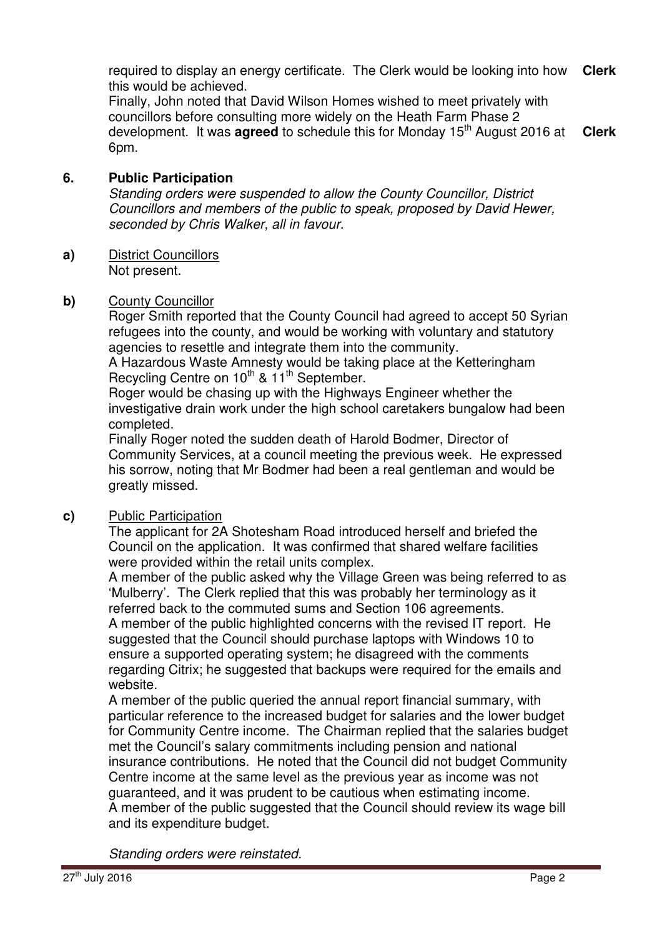required to display an energy certificate. The Clerk would be looking into how this would be achieved. **Clerk**

Finally, John noted that David Wilson Homes wished to meet privately with councillors before consulting more widely on the Heath Farm Phase 2 development. It was **agreed** to schedule this for Monday 15<sup>th</sup> August 2016 at 6pm. **Clerk**

### **6. Public Participation**

Standing orders were suspended to allow the County Councillor, District Councillors and members of the public to speak, proposed by David Hewer, seconded by Chris Walker, all in favour.

**a)** District Councillors Not present.

### **b)** County Councillor

Roger Smith reported that the County Council had agreed to accept 50 Syrian refugees into the county, and would be working with voluntary and statutory agencies to resettle and integrate them into the community.

A Hazardous Waste Amnesty would be taking place at the Ketteringham Recycling Centre on 10<sup>th</sup> & 11<sup>th</sup> September.

Roger would be chasing up with the Highways Engineer whether the investigative drain work under the high school caretakers bungalow had been completed.

Finally Roger noted the sudden death of Harold Bodmer, Director of Community Services, at a council meeting the previous week. He expressed his sorrow, noting that Mr Bodmer had been a real gentleman and would be greatly missed.

## **c)** Public Participation

The applicant for 2A Shotesham Road introduced herself and briefed the Council on the application. It was confirmed that shared welfare facilities were provided within the retail units complex.

A member of the public asked why the Village Green was being referred to as 'Mulberry'. The Clerk replied that this was probably her terminology as it referred back to the commuted sums and Section 106 agreements.

A member of the public highlighted concerns with the revised IT report. He suggested that the Council should purchase laptops with Windows 10 to ensure a supported operating system; he disagreed with the comments regarding Citrix; he suggested that backups were required for the emails and website.

A member of the public queried the annual report financial summary, with particular reference to the increased budget for salaries and the lower budget for Community Centre income. The Chairman replied that the salaries budget met the Council's salary commitments including pension and national insurance contributions. He noted that the Council did not budget Community Centre income at the same level as the previous year as income was not guaranteed, and it was prudent to be cautious when estimating income. A member of the public suggested that the Council should review its wage bill and its expenditure budget.

Standing orders were reinstated.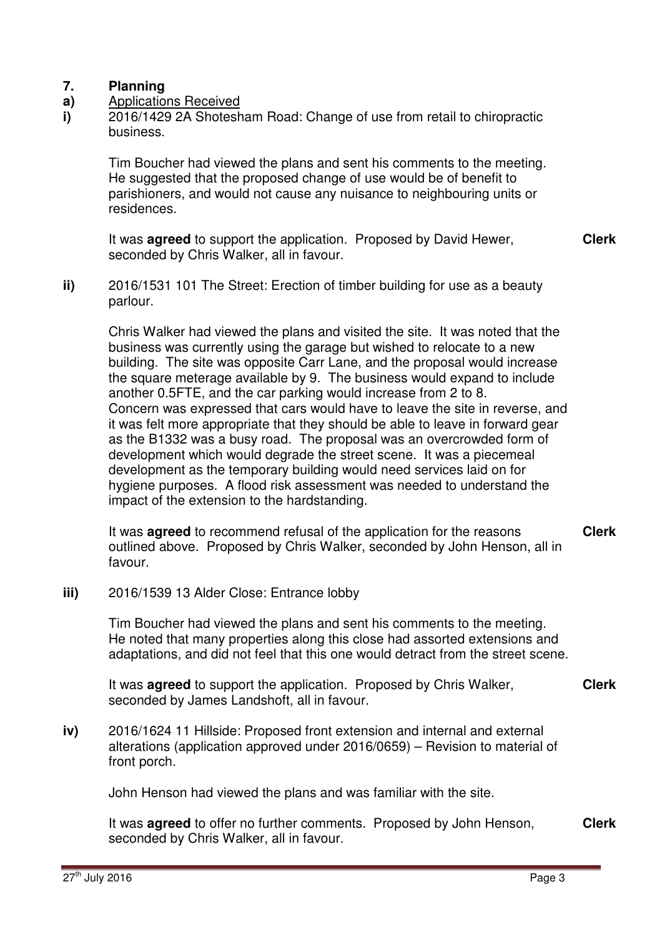### **7. Planning**

- **a)**  Applications Received
- **i)**  2016/1429 2A Shotesham Road: Change of use from retail to chiropractic business.

Tim Boucher had viewed the plans and sent his comments to the meeting. He suggested that the proposed change of use would be of benefit to parishioners, and would not cause any nuisance to neighbouring units or residences.

It was **agreed** to support the application. Proposed by David Hewer, seconded by Chris Walker, all in favour. **Clerk**

**ii)** 2016/1531 101 The Street: Erection of timber building for use as a beauty parlour.

Chris Walker had viewed the plans and visited the site. It was noted that the business was currently using the garage but wished to relocate to a new building. The site was opposite Carr Lane, and the proposal would increase the square meterage available by 9. The business would expand to include another 0.5FTE, and the car parking would increase from 2 to 8. Concern was expressed that cars would have to leave the site in reverse, and it was felt more appropriate that they should be able to leave in forward gear as the B1332 was a busy road. The proposal was an overcrowded form of development which would degrade the street scene. It was a piecemeal development as the temporary building would need services laid on for hygiene purposes. A flood risk assessment was needed to understand the impact of the extension to the hardstanding.

It was **agreed** to recommend refusal of the application for the reasons outlined above. Proposed by Chris Walker, seconded by John Henson, all in favour. **Clerk**

**iii)** 2016/1539 13 Alder Close: Entrance lobby

Tim Boucher had viewed the plans and sent his comments to the meeting. He noted that many properties along this close had assorted extensions and adaptations, and did not feel that this one would detract from the street scene.

It was **agreed** to support the application. Proposed by Chris Walker, seconded by James Landshoft, all in favour. **Clerk**

**iv)** 2016/1624 11 Hillside: Proposed front extension and internal and external alterations (application approved under 2016/0659) – Revision to material of front porch.

John Henson had viewed the plans and was familiar with the site.

It was **agreed** to offer no further comments. Proposed by John Henson, seconded by Chris Walker, all in favour. **Clerk**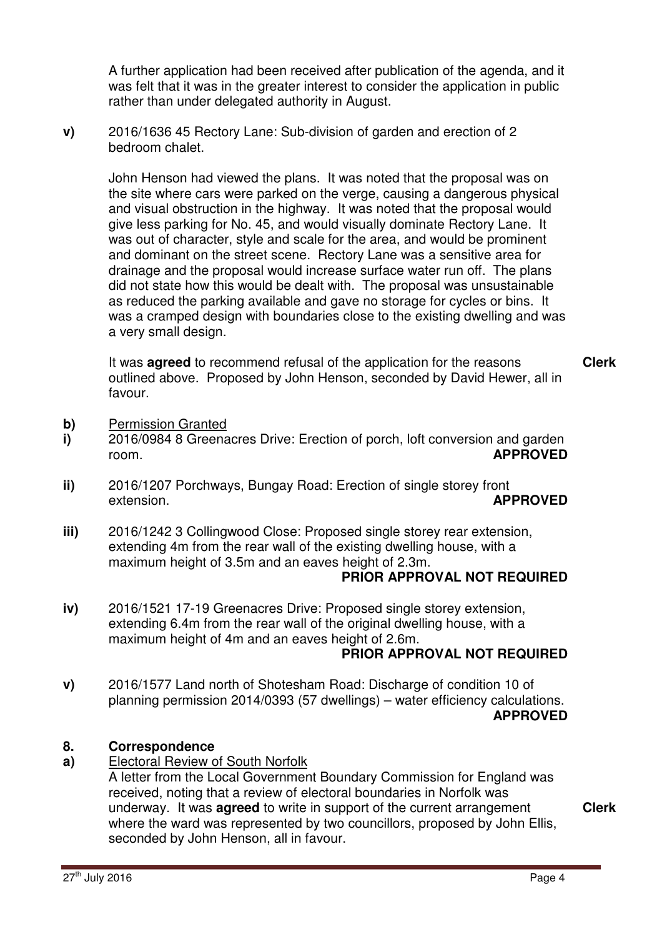A further application had been received after publication of the agenda, and it was felt that it was in the greater interest to consider the application in public rather than under delegated authority in August.

**v)** 2016/1636 45 Rectory Lane: Sub-division of garden and erection of 2 bedroom chalet.

> John Henson had viewed the plans. It was noted that the proposal was on the site where cars were parked on the verge, causing a dangerous physical and visual obstruction in the highway. It was noted that the proposal would give less parking for No. 45, and would visually dominate Rectory Lane. It was out of character, style and scale for the area, and would be prominent and dominant on the street scene. Rectory Lane was a sensitive area for drainage and the proposal would increase surface water run off. The plans did not state how this would be dealt with. The proposal was unsustainable as reduced the parking available and gave no storage for cycles or bins. It was a cramped design with boundaries close to the existing dwelling and was a very small design.

It was **agreed** to recommend refusal of the application for the reasons outlined above. Proposed by John Henson, seconded by David Hewer, all in favour.

- **b)** Permission Granted
- **i)**  2016/0984 8 Greenacres Drive: Erection of porch, loft conversion and garden room. **APPROVED**
- **ii)**  2016/1207 Porchways, Bungay Road: Erection of single storey front extension. **APPROVED**
- **iii)**  2016/1242 3 Collingwood Close: Proposed single storey rear extension, extending 4m from the rear wall of the existing dwelling house, with a maximum height of 3.5m and an eaves height of 2.3m.

### **PRIOR APPROVAL NOT REQUIRED**

**iv)**  2016/1521 17-19 Greenacres Drive: Proposed single storey extension, extending 6.4m from the rear wall of the original dwelling house, with a maximum height of 4m and an eaves height of 2.6m.

# **PRIOR APPROVAL NOT REQUIRED**

**v)**  2016/1577 Land north of Shotesham Road: Discharge of condition 10 of planning permission 2014/0393 (57 dwellings) – water efficiency calculations. **APPROVED**

#### **8. Correspondence**

- **a)**  Electoral Review of South Norfolk
	- A letter from the Local Government Boundary Commission for England was received, noting that a review of electoral boundaries in Norfolk was underway. It was **agreed** to write in support of the current arrangement where the ward was represented by two councillors, proposed by John Ellis, seconded by John Henson, all in favour.

**Clerk**

**Clerk**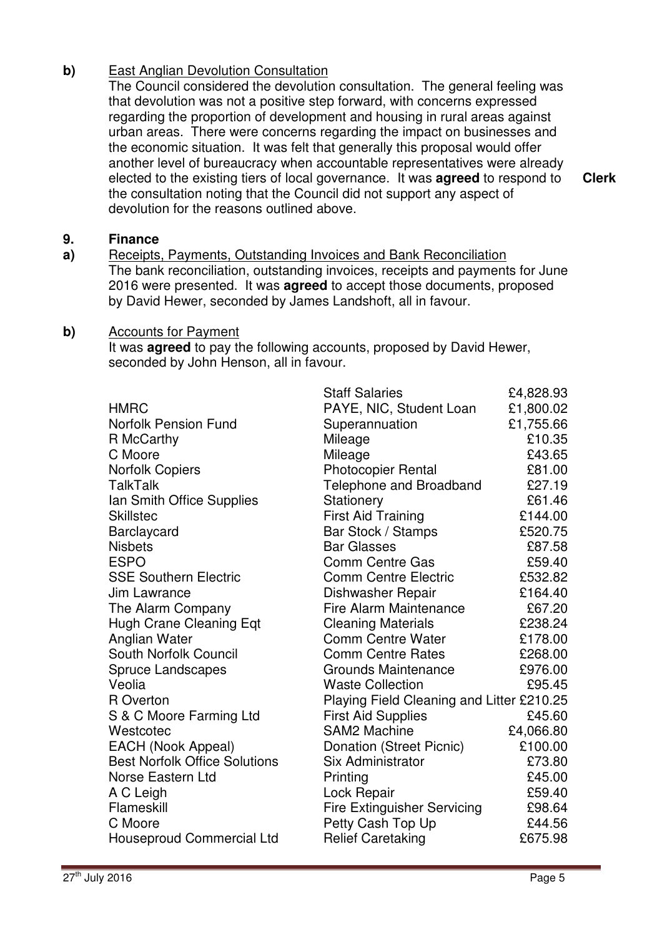## **b)** East Anglian Devolution Consultation

The Council considered the devolution consultation. The general feeling was that devolution was not a positive step forward, with concerns expressed regarding the proportion of development and housing in rural areas against urban areas. There were concerns regarding the impact on businesses and the economic situation. It was felt that generally this proposal would offer another level of bureaucracy when accountable representatives were already elected to the existing tiers of local governance. It was **agreed** to respond to the consultation noting that the Council did not support any aspect of devolution for the reasons outlined above.

#### **9. Finance**

**a)**  Receipts, Payments, Outstanding Invoices and Bank Reconciliation The bank reconciliation, outstanding invoices, receipts and payments for June 2016 were presented. It was **agreed** to accept those documents, proposed by David Hewer, seconded by James Landshoft, all in favour.

### **b)** Accounts for Payment

It was **agreed** to pay the following accounts, proposed by David Hewer, seconded by John Henson, all in favour.

|                                      | <b>Staff Salaries</b>                     | £4,828.93 |
|--------------------------------------|-------------------------------------------|-----------|
| <b>HMRC</b>                          | PAYE, NIC, Student Loan                   | £1,800.02 |
| <b>Norfolk Pension Fund</b>          | Superannuation                            | £1,755.66 |
| R McCarthy                           | Mileage                                   | £10.35    |
| C Moore                              | Mileage                                   | £43.65    |
| <b>Norfolk Copiers</b>               | <b>Photocopier Rental</b>                 | £81.00    |
| <b>TalkTalk</b>                      | Telephone and Broadband                   | £27.19    |
| Ian Smith Office Supplies            | Stationery                                | £61.46    |
| <b>Skillstec</b>                     | <b>First Aid Training</b>                 | £144.00   |
| Barclaycard                          | Bar Stock / Stamps                        | £520.75   |
| <b>Nisbets</b>                       | <b>Bar Glasses</b>                        | £87.58    |
| <b>ESPO</b>                          | <b>Comm Centre Gas</b>                    | £59.40    |
| <b>SSE Southern Electric</b>         | <b>Comm Centre Electric</b>               | £532.82   |
| Jim Lawrance                         | Dishwasher Repair                         | £164.40   |
| The Alarm Company                    | <b>Fire Alarm Maintenance</b>             | £67.20    |
| Hugh Crane Cleaning Eqt              | <b>Cleaning Materials</b>                 | £238.24   |
| Anglian Water                        | <b>Comm Centre Water</b>                  | £178.00   |
| <b>South Norfolk Council</b>         | <b>Comm Centre Rates</b>                  | £268.00   |
| <b>Spruce Landscapes</b>             | <b>Grounds Maintenance</b>                | £976.00   |
| Veolia                               | <b>Waste Collection</b>                   | £95.45    |
| R Overton                            | Playing Field Cleaning and Litter £210.25 |           |
| S & C Moore Farming Ltd              | <b>First Aid Supplies</b>                 | £45.60    |
| Westcotec                            | <b>SAM2 Machine</b>                       | £4,066.80 |
| <b>EACH (Nook Appeal)</b>            | Donation (Street Picnic)                  | £100.00   |
| <b>Best Norfolk Office Solutions</b> | <b>Six Administrator</b>                  | £73.80    |
| Norse Eastern Ltd                    | Printing                                  | £45.00    |
| A C Leigh                            | Lock Repair                               | £59.40    |
| Flameskill                           | <b>Fire Extinguisher Servicing</b>        | £98.64    |
| C Moore                              | Petty Cash Top Up                         | £44.56    |
| <b>Houseproud Commercial Ltd</b>     | <b>Relief Caretaking</b>                  | £675.98   |

**Clerk**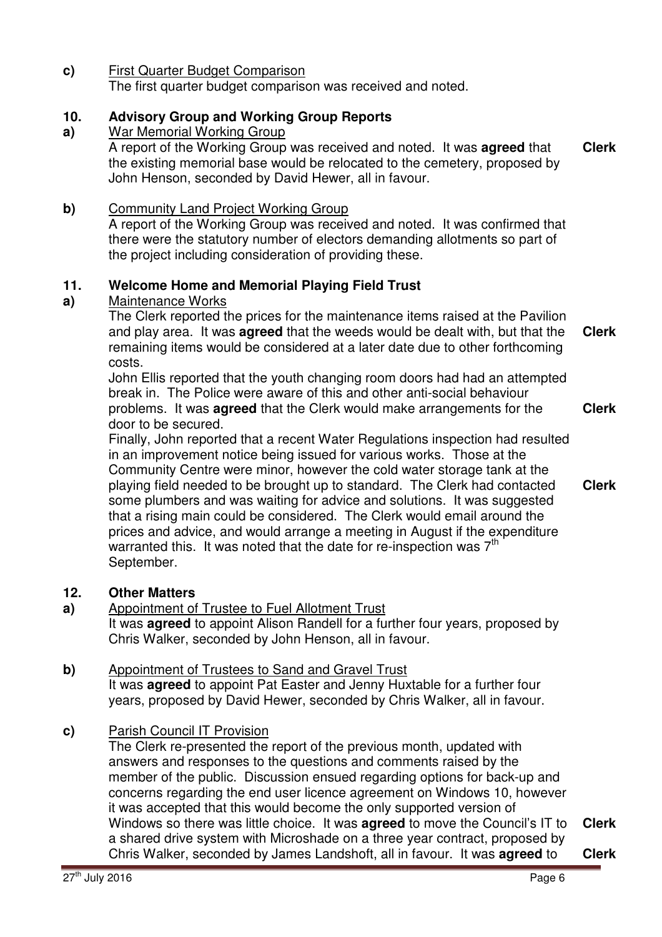**c)** First Quarter Budget Comparison The first quarter budget comparison was received and noted.

### **10. Advisory Group and Working Group Reports**

### **a)**  War Memorial Working Group

A report of the Working Group was received and noted. It was **agreed** that the existing memorial base would be relocated to the cemetery, proposed by John Henson, seconded by David Hewer, all in favour. **Clerk**

# **b)** Community Land Project Working Group

A report of the Working Group was received and noted. It was confirmed that there were the statutory number of electors demanding allotments so part of the project including consideration of providing these.

### **11. Welcome Home and Memorial Playing Field Trust**

### **a)**  Maintenance Works

The Clerk reported the prices for the maintenance items raised at the Pavilion and play area. It was **agreed** that the weeds would be dealt with, but that the remaining items would be considered at a later date due to other forthcoming costs. **Clerk**

John Ellis reported that the youth changing room doors had had an attempted break in. The Police were aware of this and other anti-social behaviour problems. It was **agreed** that the Clerk would make arrangements for the door to be secured. **Clerk**

Finally, John reported that a recent Water Regulations inspection had resulted in an improvement notice being issued for various works. Those at the Community Centre were minor, however the cold water storage tank at the playing field needed to be brought up to standard. The Clerk had contacted some plumbers and was waiting for advice and solutions. It was suggested that a rising main could be considered. The Clerk would email around the prices and advice, and would arrange a meeting in August if the expenditure warranted this. It was noted that the date for re-inspection was  $7<sup>th</sup>$ September. **Clerk**

## **12. Other Matters**

**a)** Appointment of Trustee to Fuel Allotment Trust

It was **agreed** to appoint Alison Randell for a further four years, proposed by Chris Walker, seconded by John Henson, all in favour.

## **b)** Appointment of Trustees to Sand and Gravel Trust

It was **agreed** to appoint Pat Easter and Jenny Huxtable for a further four years, proposed by David Hewer, seconded by Chris Walker, all in favour.

## **c)** Parish Council IT Provision

The Clerk re-presented the report of the previous month, updated with answers and responses to the questions and comments raised by the member of the public. Discussion ensued regarding options for back-up and concerns regarding the end user licence agreement on Windows 10, however it was accepted that this would become the only supported version of Windows so there was little choice. It was **agreed** to move the Council's IT to a shared drive system with Microshade on a three year contract, proposed by Chris Walker, seconded by James Landshoft, all in favour. It was **agreed** to **Clerk Clerk**